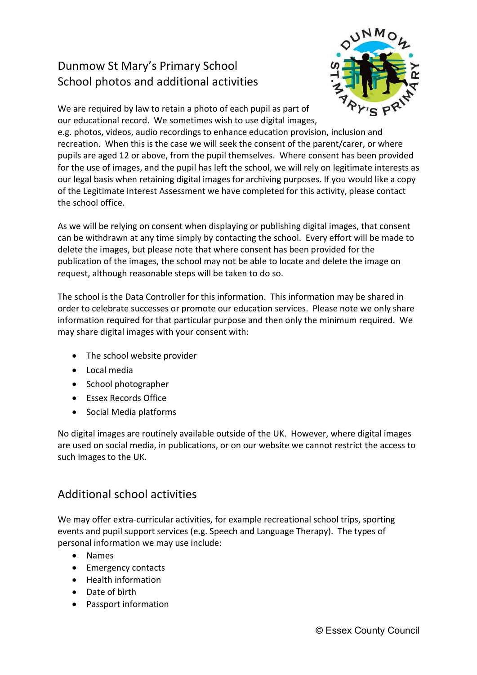## Dunmow St Mary's Primary School School photos and additional activities



We are required by law to retain a photo of each pupil as part of our educational record. We sometimes wish to use digital images,

e.g. photos, videos, audio recordings to enhance education provision, inclusion and recreation. When this is the case we will seek the consent of the parent/carer, or where pupils are aged 12 or above, from the pupil themselves. Where consent has been provided for the use of images, and the pupil has left the school, we will rely on legitimate interests as our legal basis when retaining digital images for archiving purposes. If you would like a copy of the Legitimate Interest Assessment we have completed for this activity, please contact the school office.

As we will be relying on consent when displaying or publishing digital images, that consent can be withdrawn at any time simply by contacting the school. Every effort will be made to delete the images, but please note that where consent has been provided for the publication of the images, the school may not be able to locate and delete the image on request, although reasonable steps will be taken to do so.

The school is the Data Controller for this information. This information may be shared in order to celebrate successes or promote our education services. Please note we only share information required for that particular purpose and then only the minimum required. We may share digital images with your consent with:

- The school website provider
- Local media
- School photographer
- Essex Records Office
- Social Media platforms

No digital images are routinely available outside of the UK. However, where digital images are used on social media, in publications, or on our website we cannot restrict the access to such images to the UK.

## Additional school activities

We may offer extra-curricular activities, for example recreational school trips, sporting events and pupil support services (e.g. Speech and Language Therapy). The types of personal information we may use include:

- Names
- Emergency contacts
- Health information
- Date of birth
- Passport information